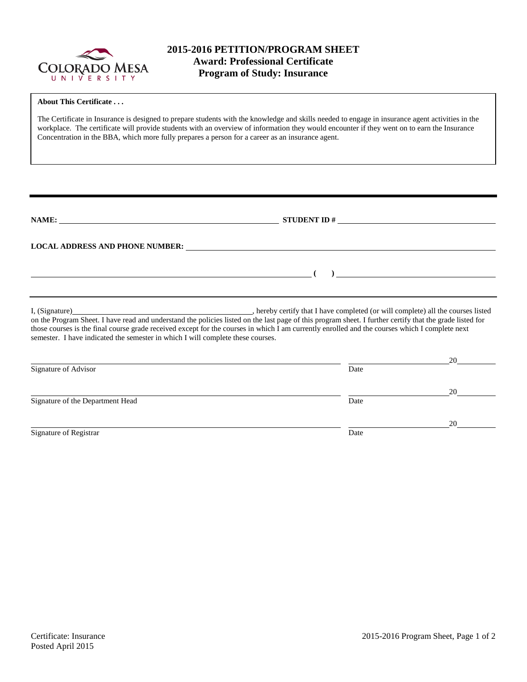

r

## **2015-2016 PETITION/PROGRAM SHEET Award: Professional Certificate Program of Study: Insurance**

| <b>About This Certificate</b><br>The Certificate in Insurance is designed to prepare students with the knowledge and skills needed to engage in insurance agent activities in the<br>workplace. The certificate will provide students with an overview of information they would encounter if they went on to earn the Insurance<br>Concentration in the BBA, which more fully prepares a person for a career as an insurance agent.                                                                |      |    |
|-----------------------------------------------------------------------------------------------------------------------------------------------------------------------------------------------------------------------------------------------------------------------------------------------------------------------------------------------------------------------------------------------------------------------------------------------------------------------------------------------------|------|----|
| NAME: $STUDENT ID #$                                                                                                                                                                                                                                                                                                                                                                                                                                                                                |      |    |
| LOCAL ADDRESS AND PHONE NUMBER: University of the contract of the contract of the contract of the contract of the contract of the contract of the contract of the contract of the contract of the contract of the contract of                                                                                                                                                                                                                                                                       |      |    |
| . hereby certify that I have completed (or will complete) all the courses listed<br>I. (Signature)<br>on the Program Sheet. I have read and understand the policies listed on the last page of this program sheet. I further certify that the grade listed for<br>those courses is the final course grade received except for the courses in which I am currently enrolled and the courses which I complete next<br>semester. I have indicated the semester in which I will complete these courses. |      |    |
| Signature of Advisor                                                                                                                                                                                                                                                                                                                                                                                                                                                                                | Date | 20 |
| Signature of the Department Head                                                                                                                                                                                                                                                                                                                                                                                                                                                                    | Date | 20 |
| Signature of Registrar                                                                                                                                                                                                                                                                                                                                                                                                                                                                              | Date | 20 |